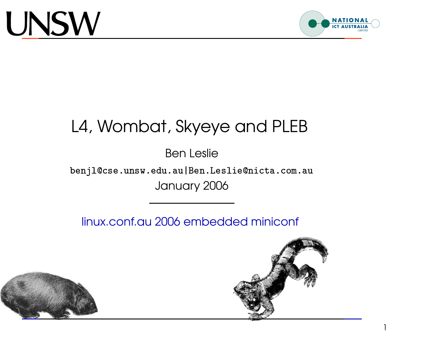

#### L4, Wombat, Skyeye and PLEB \_\_ www.iiixaanaanaanaanaan

Ben Leslie  $\frac{1}{2}$  $\ddot{ }$  $\overline{a}$ .<br>.<br>.  $\ddot{\phantom{0}}$  $\overline{a}$  $\begin{bmatrix} 1 & 1 & 1 \\ 1 & 1 & 1 \\ 1 & 1 & 1 \\ 1 & 1 & 1 \\ 1 & 1 & 1 \\ 1 & 1 & 1 \\ 1 & 1 & 1 \\ 1 & 1 & 1 \\ 1 & 1 & 1 \\ 1 & 1 & 1 \\ 1 & 1 & 1 \\ 1 & 1 & 1 \\ 1 & 1 & 1 \\ 1 & 1 & 1 \\ 1 & 1 & 1 \\ 1 & 1 & 1 \\ 1 & 1 & 1 \\ 1 & 1 & 1 \\ 1 & 1 & 1 \\ 1 & 1 & 1 \\ 1 & 1 & 1 \\ 1 & 1 & 1 \\ 1 & 1 & 1 \\ 1 & 1 &$  $\ddot{ }$ 

 $\ddot{\phantom{a}}$ יות היו היו לא היו לא היו לא היו לא היו לא היו לא היו לא היו לא היו לא היו לא היו לא היו לא היו לא היו לא היו <br>לא היו לא היו לא היו לא היו לא היו לא היו לא היו לא היו לא היו לא היו לא היו לא היו לא היו לא היו לא היו לא ה  $\ddot{\phantom{a}}$  $\overline{a}$  $\overline{a}$  $\begin{bmatrix} 1 & 1 \\ 1 & 1 \\ 1 & 1 \end{bmatrix}$ י<br>י יינו יוני היינו יוני היינו יוני היינו יוני היינו יוני היינו יוני היינו יוני היינו יוני היינו יוני היינו יוני ה<br>יינו יוני היינו יוני היינו יוני היינו יוני היינו יוני היינו יוני היינו יוני היינו יוני היינו יוני היינו יוני  $\ddot{\phantom{a}}$  $\overline{a}$ י<br>י .<br>ו  $\overline{a}$  $\ddot{\phantom{a}}$ .<br>.<br>.  $\ddot{\phantom{a}}$  $\frac{1}{2}$  $\ddot{\phantom{0}}$ י<br>ו  $\begin{bmatrix} 1 & 1 \\ 1 & 1 \\ 1 & 1 \end{bmatrix}$  $\ddot{\phantom{a}}$  $\ddot{\phantom{a}}$  $\ddot{\phantom{0}}$   $\overline{a}$  $\overline{a}$  $\frac{1}{2}$   $\ddot{\phantom{0}}$  $\ddot{\phantom{a}}$  benjl@cse.unsw.edu.au|Ben.Leslie@nicta.com.au --I --January 2006

linux.conf.au 2006 embedded miniconf





1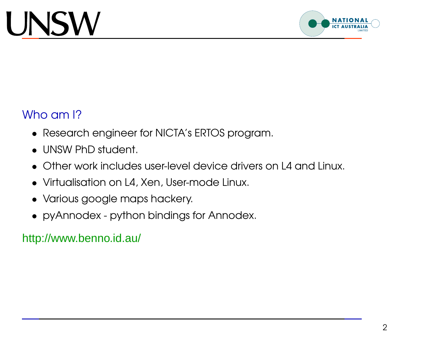

#### Who am I?

- Research engineer for NICTA's ERTOS program.
- UNSW PhD student.
- Other work includes user-level device drivers on L4 and Linux.
- Virtualisation on L4, Xen, User-mode Linux.
- Various google maps hackery.
- pyAnnodex python bindings for Annodex.

http://www.benno.id.au/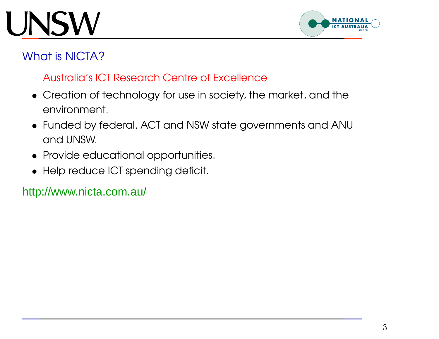## **JNSW**



### What is NICTA?

#### Australia's ICT Research Centre of Excellence

- Creation of technology for use in society, the market, and the environment.
- Funded by federal, ACT and NSW state governments and ANU and UNSW.
- Provide educational opportunities.
- Help reduce ICT spending deficit.

#### http://www.nicta.com.au/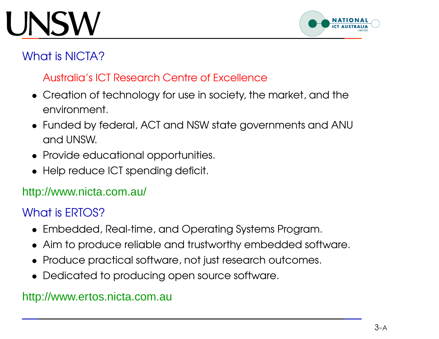## NSW



### What is NICTA?

#### Australia's ICT Research Centre of Excellence

- Creation of technology for use in society, the market, and the environment.
- Funded by federal, ACT and NSW state governments and ANU and UNSW.
- Provide educational opportunities.
- Help reduce ICT spending deficit.

#### http://www.nicta.com.au/

### What is ERTOS?

- Embedded, Real-time, and Operating Systems Program.
- Aim to produce reliable and trustworthy embedded software.
- Produce practical software, not just research outcomes.
- Dedicated to producing open source software.

#### http://www.ertos.nicta.com.au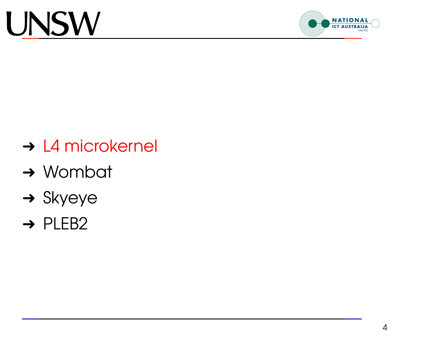

- **→ L4 microkernel**
- **→ Wombat**
- $\rightarrow$  Skyeye
- → PLEB2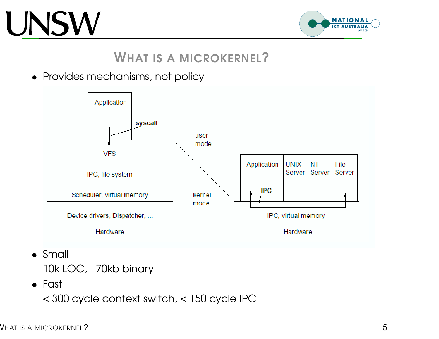

### WHAT IS A MICROKERNEL?

• Provides mechanisms, not policy



• Small

10k LOC, 70kb binary

• Fast

< 300 cycle context switch, <sup>&</sup>lt; 150 cycle IPC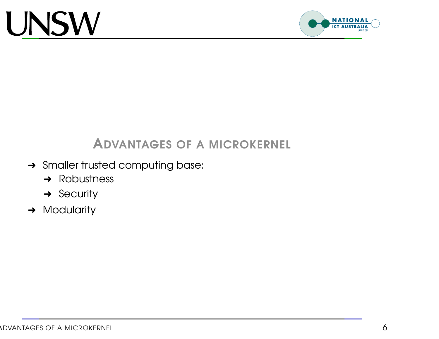

### ADVANTAGES OF A MICROKERNEL

- **→ Smaller trusted computing base:** 
	- **→** Robustness
	- **→ Security**
- **→ Modularity**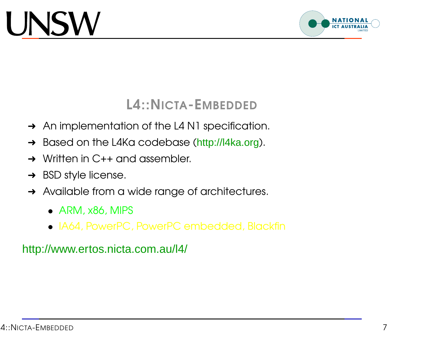

L4::NICTA-EMBEDDED

- **→** An implementation of the L4 N1 specification.
- → Based on the L4Ka codebase (http://l4ka.org).
- **→ Written in C++ and assembler.**
- $\rightarrow$  BSD style license.
- **→** Available from a wide range of architectures.
	- ARM, x86, MIPS
	- IA64, PowerPC, PowerPC embedded, Blackfin

http://www.ertos.nicta.com.au/l4/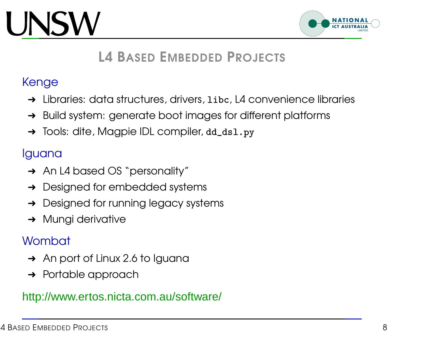## **JNSV**



### L4 BASED EMBEDDED PROJECTS

### Kenge

- $\rightarrow$  Libraries: data structures, drivers,  $1$ ibc, L4 convenience libraries
- → Build system: generate boot images for different platforms
- → Tools: dite, Magpie IDL compiler, dd\_ds1.py

#### Iguana

- → An L4 based OS "personality"
- **→** Designed for embedded systems
- **→** Designed for running legacy systems
- **→ Mungi derivative**

### **Wombat**

- **→** An port of Linux 2.6 to Iguana
- **→** Portable approach

#### http://www.ertos.nicta.com.au/software/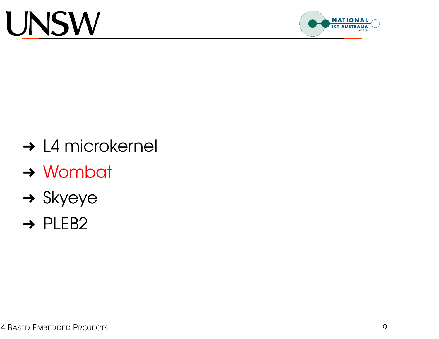

- **→ L4 microkernel**
- **→ Wombat**
- $\rightarrow$  Skyeye
- → PLEB2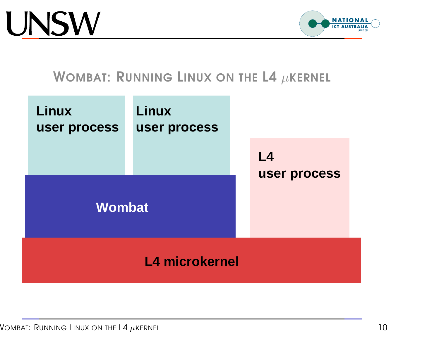

### WOMBAT: RUNNING LINUX ON THE L4  $\mu$ KERNEL

| <b>Linux</b><br>user process<br><b>Wombat</b> | <b>Linux</b><br>user process | L4<br>user process |
|-----------------------------------------------|------------------------------|--------------------|
| <b>L4 microkernel</b>                         |                              |                    |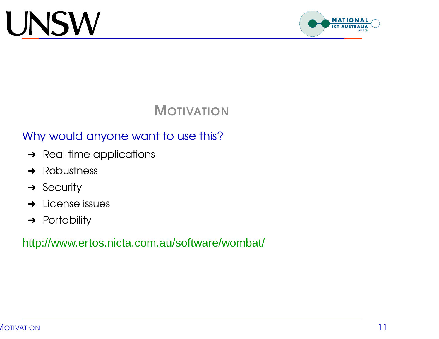

### **MOTIVATION**

### Why would anyone want to use this?

- **→** Real-time applications
- $\rightarrow$  Robustness
- $\rightarrow$  Security
- $\rightarrow$  License issues
- **→ Portability**

http://www.ertos.nicta.com.au/software/wombat/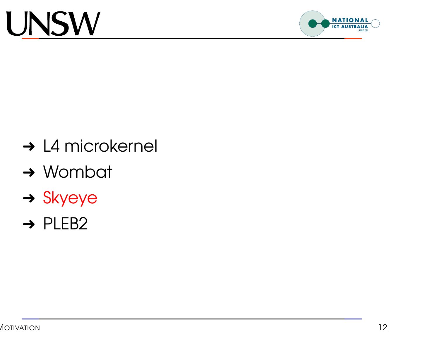

- **→ L4 microkernel**
- **→ Wombat**
- → Skyeye
- → PLEB2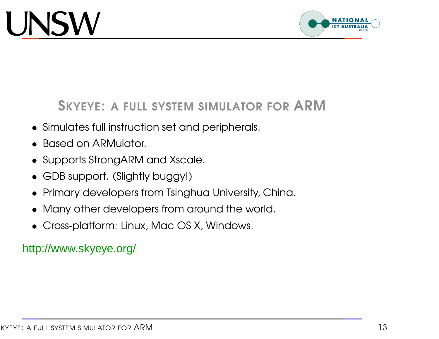

SKYEYE: <sup>A</sup> FULL SYSTEM SIMULATOR FOR ARM

- Simulates full instruction set and peripherals.
- Based on ARMulator.
- Supports StrongARM and Xscale.
- GDB support. (Slightly buggy!)
- Primary developers from Tsinghua University, China.
- Many other developers from around the world.
- Cross-platform: Linux, Mac OS X, Windows.

### http://www.skyeye.org/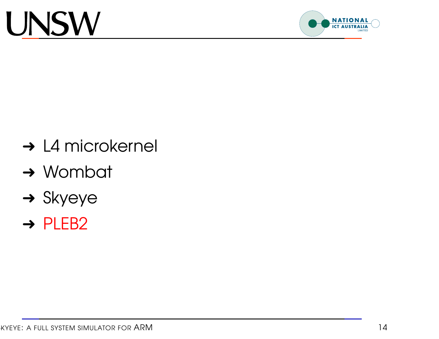

- **→ L4 microkernel**
- **→ Wombat**
- $\rightarrow$  Skyeye
- → PLEB2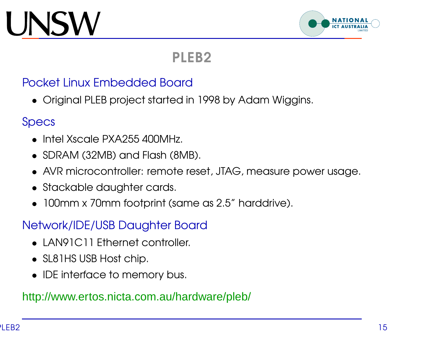## JNSW



### PLEB2

#### Pocket Linux Embedded Board

• Original PLEB project started in 1998 by Adam Wiggins.

#### Specs

- Intel Xscale PXA255400MHz.
- SDRAM (32MB) and Flash (8MB).
- AVR microcontroller: remote reset, JTAG, measure power usage.
- Stackable daughter cards.
- 100mm <sup>x</sup> 70mm footprint (same as 2.5" harddrive).

#### Network/IDE/USB Daughter Board

- LAN91C11 Ethernet controller.
- SL81HS USB Host chip.
- IDE interface to memory bus.

#### http://www.ertos.nicta.com.au/hardware/pleb/